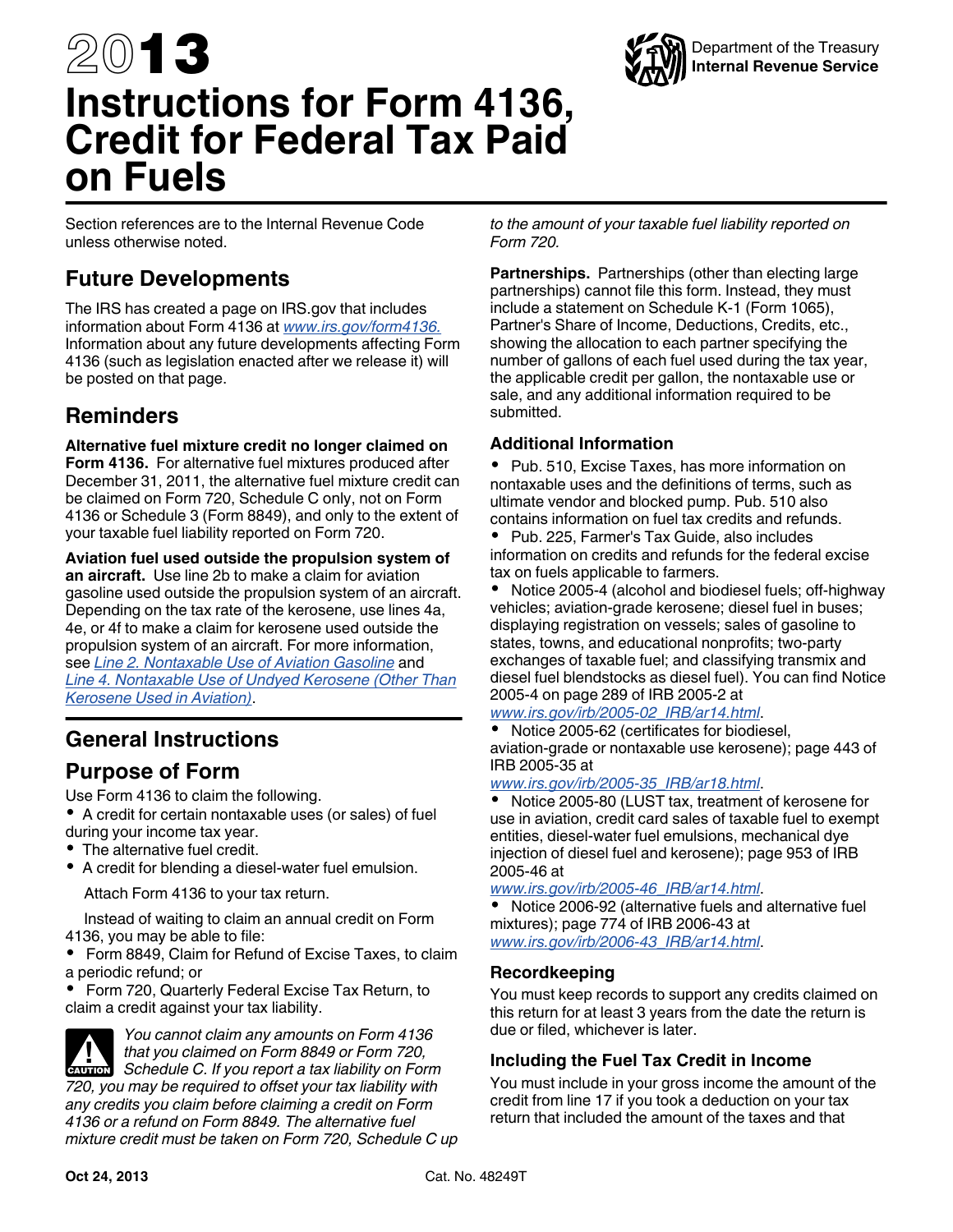# 2013 **Instructions for Form 4136, Credit for Federal Tax Paid on Fuels**

Section references are to the Internal Revenue Code unless otherwise noted.

### **Future Developments**

The IRS has created a page on IRS.gov that includes information about Form 4136 at *[www.irs.gov/form4136.](http://www.irs.gov/form4136)*  Information about any future developments affecting Form 4136 (such as legislation enacted after we release it) will be posted on that page.

### **Reminders**

**Alternative fuel mixture credit no longer claimed on Form 4136.** For alternative fuel mixtures produced after December 31, 2011, the alternative fuel mixture credit can be claimed on Form 720, Schedule C only, not on Form 4136 or Schedule 3 (Form 8849), and only to the extent of your taxable fuel liability reported on Form 720.

**Aviation fuel used outside the propulsion system of an aircraft.** Use line 2b to make a claim for aviation gasoline used outside the propulsion system of an aircraft. Depending on the tax rate of the kerosene, use lines 4a, 4e, or 4f to make a claim for kerosene used outside the propulsion system of an aircraft. For more information, see *[Line 2. Nontaxable Use of Aviation Gasoline](#page-2-0)* and *[Line 4. Nontaxable Use of Undyed Kerosene \(Other Than](#page-2-0) [Kerosene Used in Aviation\)](#page-2-0)*.

## **General Instructions**

### **Purpose of Form**

Use Form 4136 to claim the following.

A credit for certain nontaxable uses (or sales) of fuel during your income tax year.

- The alternative fuel credit.
- A credit for blending a diesel-water fuel emulsion.

Attach Form 4136 to your tax return.

Instead of waiting to claim an annual credit on Form 4136, you may be able to file:

 Form 8849, Claim for Refund of Excise Taxes, to claim a periodic refund; or

 Form 720, Quarterly Federal Excise Tax Return, to claim a credit against your tax liability.

*You cannot claim any amounts on Form 4136 that you claimed on Form 8849 or Form 720,*  **ISLANT** *Schedule C. If you report a tax liability on Form 3849 720, you may be required to offset your tax liability with any credits you claim before claiming a credit on Form 4136 or a refund on Form 8849. The alternative fuel mixture credit must be taken on Form 720, Schedule C up*  *to the amount of your taxable fuel liability reported on Form 720.*

**Partnerships.** Partnerships (other than electing large partnerships) cannot file this form. Instead, they must include a statement on Schedule K-1 (Form 1065), Partner's Share of Income, Deductions, Credits, etc., showing the allocation to each partner specifying the number of gallons of each fuel used during the tax year, the applicable credit per gallon, the nontaxable use or sale, and any additional information required to be submitted.

### **Additional Information**

• Pub. 510, Excise Taxes, has more information on nontaxable uses and the definitions of terms, such as ultimate vendor and blocked pump. Pub. 510 also contains information on fuel tax credits and refunds.

 Pub. 225, Farmer's Tax Guide, also includes information on credits and refunds for the federal excise tax on fuels applicable to farmers.

 Notice 2005-4 (alcohol and biodiesel fuels; off-highway vehicles; aviation-grade kerosene; diesel fuel in buses; displaying registration on vessels; sales of gasoline to states, towns, and educational nonprofits; two-party exchanges of taxable fuel; and classifying transmix and diesel fuel blendstocks as diesel fuel). You can find Notice 2005-4 on page 289 of IRB 2005-2 at

*[www.irs.gov/irb/2005-02\\_IRB/ar14.html](http://www.irs.gov/irb/2005-02_IRB/ar14.html)*.

 Notice 2005-62 (certificates for biodiesel, aviation-grade or nontaxable use kerosene); page 443 of IRB 2005-35 at

#### *[www.irs.gov/irb/2005-35\\_IRB/ar18.html](http://www.irs.gov/irb/2005-35_IRB/ar18.html)*.

• Notice 2005-80 (LUST tax, treatment of kerosene for use in aviation, credit card sales of taxable fuel to exempt entities, diesel-water fuel emulsions, mechanical dye injection of diesel fuel and kerosene); page 953 of IRB 2005-46 at

*[www.irs.gov/irb/2005-46\\_IRB/ar14.html](http://www.irs.gov/irb/2005-46_IRB/ar14.html)*.

 $\bullet$  Notice 2006-92 (alternative fuels and alternative fuel mixtures); page 774 of IRB 2006-43 at *[www.irs.gov/irb/2006-43\\_IRB/ar14.html](http://www.irs.gov/irb/2006-43_IRB/ar12.html)*.

#### **Recordkeeping**

You must keep records to support any credits claimed on this return for at least 3 years from the date the return is due or filed, whichever is later.

#### **Including the Fuel Tax Credit in Income**

You must include in your gross income the amount of the credit from line 17 if you took a deduction on your tax return that included the amount of the taxes and that

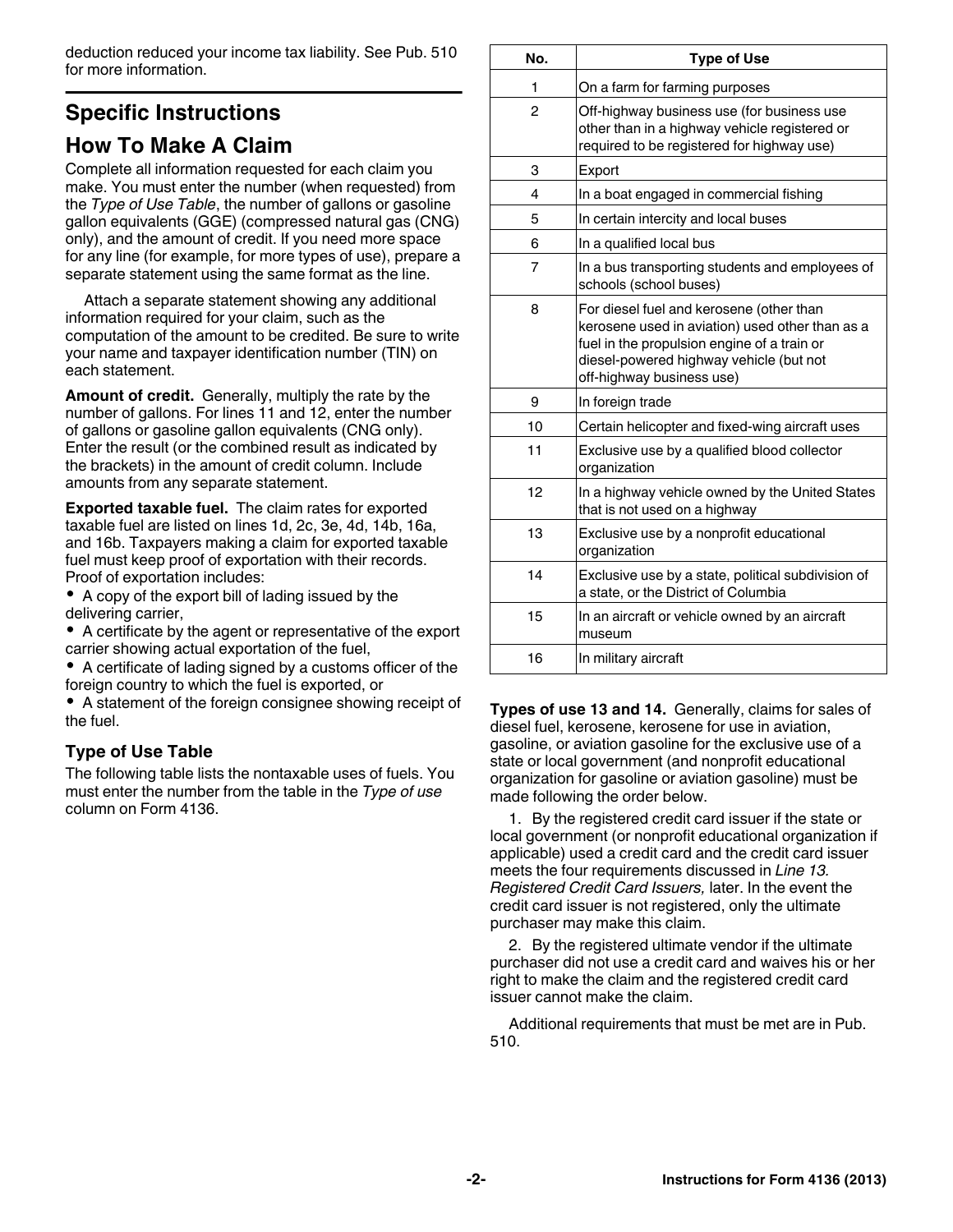<span id="page-1-0"></span>deduction reduced your income tax liability. See Pub. 510 for more information.

## **Specific Instructions**

### **How To Make A Claim**

Complete all information requested for each claim you make. You must enter the number (when requested) from the *Type of Use Table*, the number of gallons or gasoline gallon equivalents (GGE) (compressed natural gas (CNG) only), and the amount of credit. If you need more space for any line (for example, for more types of use), prepare a separate statement using the same format as the line.

Attach a separate statement showing any additional information required for your claim, such as the computation of the amount to be credited. Be sure to write your name and taxpayer identification number (TIN) on each statement.

**Amount of credit.** Generally, multiply the rate by the number of gallons. For lines 11 and 12, enter the number of gallons or gasoline gallon equivalents (CNG only). Enter the result (or the combined result as indicated by the brackets) in the amount of credit column. Include amounts from any separate statement.

**Exported taxable fuel.** The claim rates for exported taxable fuel are listed on lines 1d, 2c, 3e, 4d, 14b, 16a, and 16b. Taxpayers making a claim for exported taxable fuel must keep proof of exportation with their records. Proof of exportation includes:

A copy of the export bill of lading issued by the delivering carrier,

A certificate by the agent or representative of the export carrier showing actual exportation of the fuel,

A certificate of lading signed by a customs officer of the foreign country to which the fuel is exported, or

A statement of the foreign consignee showing receipt of the fuel.

### **Type of Use Table**

The following table lists the nontaxable uses of fuels. You must enter the number from the table in the *Type of use*  column on Form 4136.

| No.            | <b>Type of Use</b>                                                                                                                                                                                                 |
|----------------|--------------------------------------------------------------------------------------------------------------------------------------------------------------------------------------------------------------------|
| 1              | On a farm for farming purposes                                                                                                                                                                                     |
| 2              | Off-highway business use (for business use<br>other than in a highway vehicle registered or<br>required to be registered for highway use)                                                                          |
| 3              | Export                                                                                                                                                                                                             |
| 4              | In a boat engaged in commercial fishing                                                                                                                                                                            |
| 5              | In certain intercity and local buses                                                                                                                                                                               |
| 6              | In a qualified local bus                                                                                                                                                                                           |
| $\overline{7}$ | In a bus transporting students and employees of<br>schools (school buses)                                                                                                                                          |
| 8              | For diesel fuel and kerosene (other than<br>kerosene used in aviation) used other than as a<br>fuel in the propulsion engine of a train or<br>diesel-powered highway vehicle (but not<br>off-highway business use) |
| 9              | In foreign trade                                                                                                                                                                                                   |
| 10             | Certain helicopter and fixed-wing aircraft uses                                                                                                                                                                    |
| 11             | Exclusive use by a qualified blood collector<br>organization                                                                                                                                                       |
| 12             | In a highway vehicle owned by the United States<br>that is not used on a highway                                                                                                                                   |
| 13             | Exclusive use by a nonprofit educational<br>organization                                                                                                                                                           |
| 14             | Exclusive use by a state, political subdivision of<br>a state, or the District of Columbia                                                                                                                         |
| 15             | In an aircraft or vehicle owned by an aircraft<br>museum                                                                                                                                                           |
| 16             | In military aircraft                                                                                                                                                                                               |

**Types of use 13 and 14.** Generally, claims for sales of diesel fuel, kerosene, kerosene for use in aviation, gasoline, or aviation gasoline for the exclusive use of a state or local government (and nonprofit educational organization for gasoline or aviation gasoline) must be made following the order below.

1. By the registered credit card issuer if the state or local government (or nonprofit educational organization if applicable) used a credit card and the credit card issuer meets the four requirements discussed in *Line 13. Registered Credit Card Issuers,* later. In the event the credit card issuer is not registered, only the ultimate purchaser may make this claim.

2. By the registered ultimate vendor if the ultimate purchaser did not use a credit card and waives his or her right to make the claim and the registered credit card issuer cannot make the claim.

Additional requirements that must be met are in Pub. 510.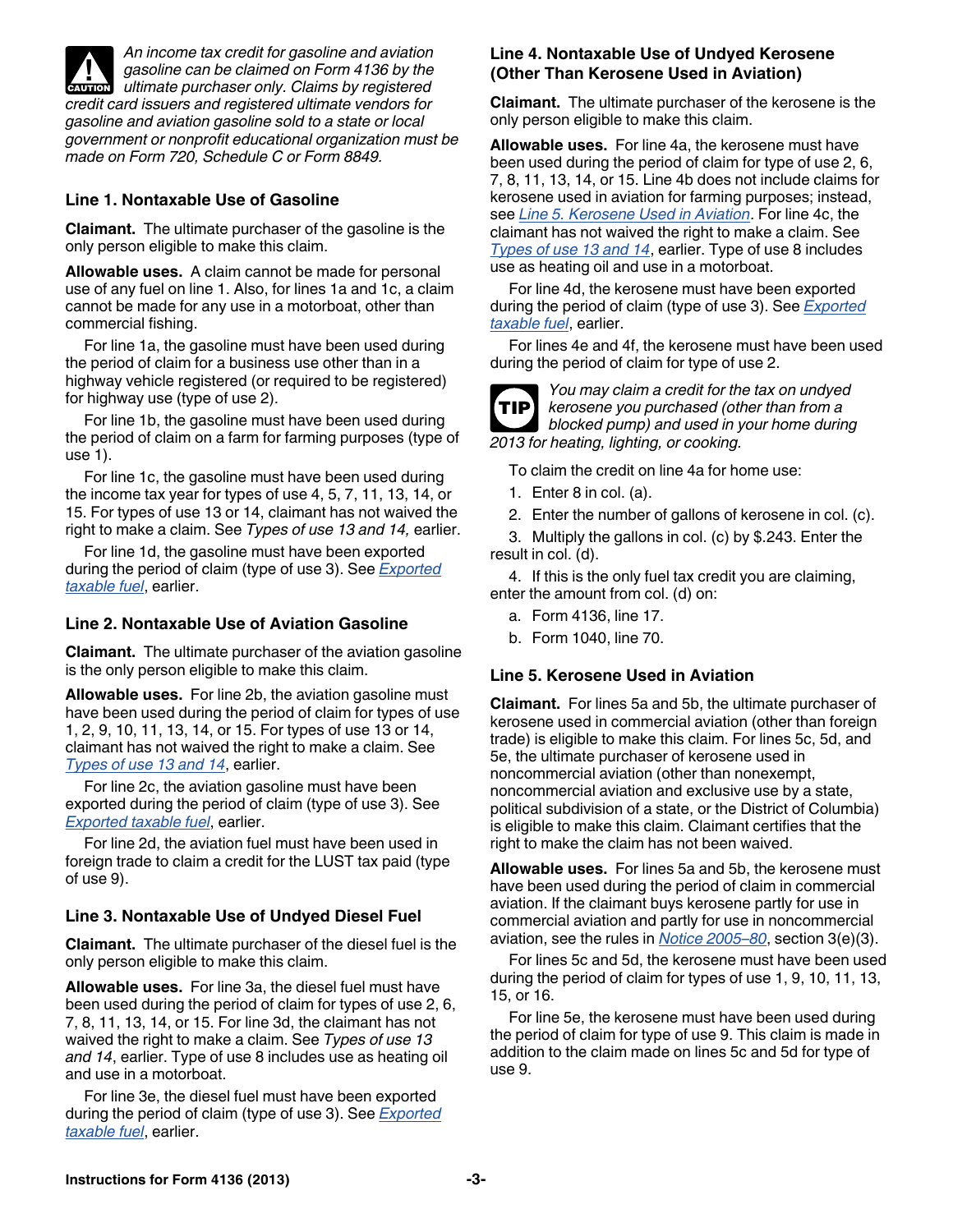<span id="page-2-0"></span>

*An income tax credit for gasoline and aviation gasoline can be claimed on Form 4136 by the*  **v** gasoline can be claimed on Form 4136 by the ultimate purchaser only. Claims by registered *credit card issuers and registered ultimate vendors for gasoline and aviation gasoline sold to a state or local government or nonprofit educational organization must be made on Form 720, Schedule C or Form 8849.*

#### **Line 1. Nontaxable Use of Gasoline**

**Claimant.** The ultimate purchaser of the gasoline is the only person eligible to make this claim.

**Allowable uses.** A claim cannot be made for personal use of any fuel on line 1. Also, for lines 1a and 1c, a claim cannot be made for any use in a motorboat, other than commercial fishing.

For line 1a, the gasoline must have been used during the period of claim for a business use other than in a highway vehicle registered (or required to be registered) for highway use (type of use 2).

For line 1b, the gasoline must have been used during the period of claim on a farm for farming purposes (type of use 1).

For line 1c, the gasoline must have been used during the income tax year for types of use 4, 5, 7, 11, 13, 14, or 15. For types of use 13 or 14, claimant has not waived the right to make a claim. See *Types of use 13 and 14,* earlier.

For line 1d, the gasoline must have been exported during the period of claim (type of use 3). See *[Exported](#page-1-0)  [taxable fuel](#page-1-0)*, earlier.

#### **Line 2. Nontaxable Use of Aviation Gasoline**

**Claimant.** The ultimate purchaser of the aviation gasoline is the only person eligible to make this claim.

**Allowable uses.** For line 2b, the aviation gasoline must have been used during the period of claim for types of use 1, 2, 9, 10, 11, 13, 14, or 15. For types of use 13 or 14, claimant has not waived the right to make a claim. See *[Types of use 13 and 14](#page-1-0)*, earlier.

For line 2c, the aviation gasoline must have been exported during the period of claim (type of use 3). See *[Exported taxable fuel](#page-1-0)*, earlier.

For line 2d, the aviation fuel must have been used in foreign trade to claim a credit for the LUST tax paid (type of use 9).

#### **Line 3. Nontaxable Use of Undyed Diesel Fuel**

**Claimant.** The ultimate purchaser of the diesel fuel is the only person eligible to make this claim.

**Allowable uses.** For line 3a, the diesel fuel must have been used during the period of claim for types of use 2, 6, 7, 8, 11, 13, 14, or 15. For line 3d, the claimant has not waived the right to make a claim. See *Types of use 13 and 14*, earlier. Type of use 8 includes use as heating oil and use in a motorboat.

For line 3e, the diesel fuel must have been exported during the period of claim (type of use 3). See *[Exported](#page-1-0)  [taxable fuel](#page-1-0)*, earlier.

#### **Line 4. Nontaxable Use of Undyed Kerosene (Other Than Kerosene Used in Aviation)**

**Claimant.** The ultimate purchaser of the kerosene is the only person eligible to make this claim.

**Allowable uses.** For line 4a, the kerosene must have been used during the period of claim for type of use 2, 6, 7, 8, 11, 13, 14, or 15. Line 4b does not include claims for kerosene used in aviation for farming purposes; instead, see *Line 5. Kerosene Used in Aviation*. For line 4c, the claimant has not waived the right to make a claim. See *[Types of use 13 and 14](#page-1-0)*, earlier. Type of use 8 includes use as heating oil and use in a motorboat.

For line 4d, the kerosene must have been exported during the period of claim (type of use 3). See *[Exported](#page-1-0)  [taxable fuel](#page-1-0)*, earlier.

For lines 4e and 4f, the kerosene must have been used during the period of claim for type of use 2.



*You may claim a credit for the tax on undyed kerosene you purchased (other than from a blocked pump) and used in your home during 2013 for heating, lighting, or cooking.*

To claim the credit on line 4a for home use:

1. Enter 8 in col. (a).

2. Enter the number of gallons of kerosene in col. (c).

3. Multiply the gallons in col. (c) by \$.243. Enter the result in col. (d).

4. If this is the only fuel tax credit you are claiming, enter the amount from col. (d) on:

- a. Form 4136, line 17.
- b. Form 1040, line 70.

#### **Line 5. Kerosene Used in Aviation**

**Claimant.** For lines 5a and 5b, the ultimate purchaser of kerosene used in commercial aviation (other than foreign trade) is eligible to make this claim. For lines 5c, 5d, and 5e, the ultimate purchaser of kerosene used in noncommercial aviation (other than nonexempt, noncommercial aviation and exclusive use by a state, political subdivision of a state, or the District of Columbia) is eligible to make this claim. Claimant certifies that the right to make the claim has not been waived.

**Allowable uses.** For lines 5a and 5b, the kerosene must have been used during the period of claim in commercial aviation. If the claimant buys kerosene partly for use in commercial aviation and partly for use in noncommercial aviation, see the rules in *[Notice 2005–80](http://www.irs.gov/irb/2005-46_IRB/ar14.html)*, section 3(e)(3).

For lines 5c and 5d, the kerosene must have been used during the period of claim for types of use 1, 9, 10, 11, 13, 15, or 16.

For line 5e, the kerosene must have been used during the period of claim for type of use 9. This claim is made in addition to the claim made on lines 5c and 5d for type of use 9.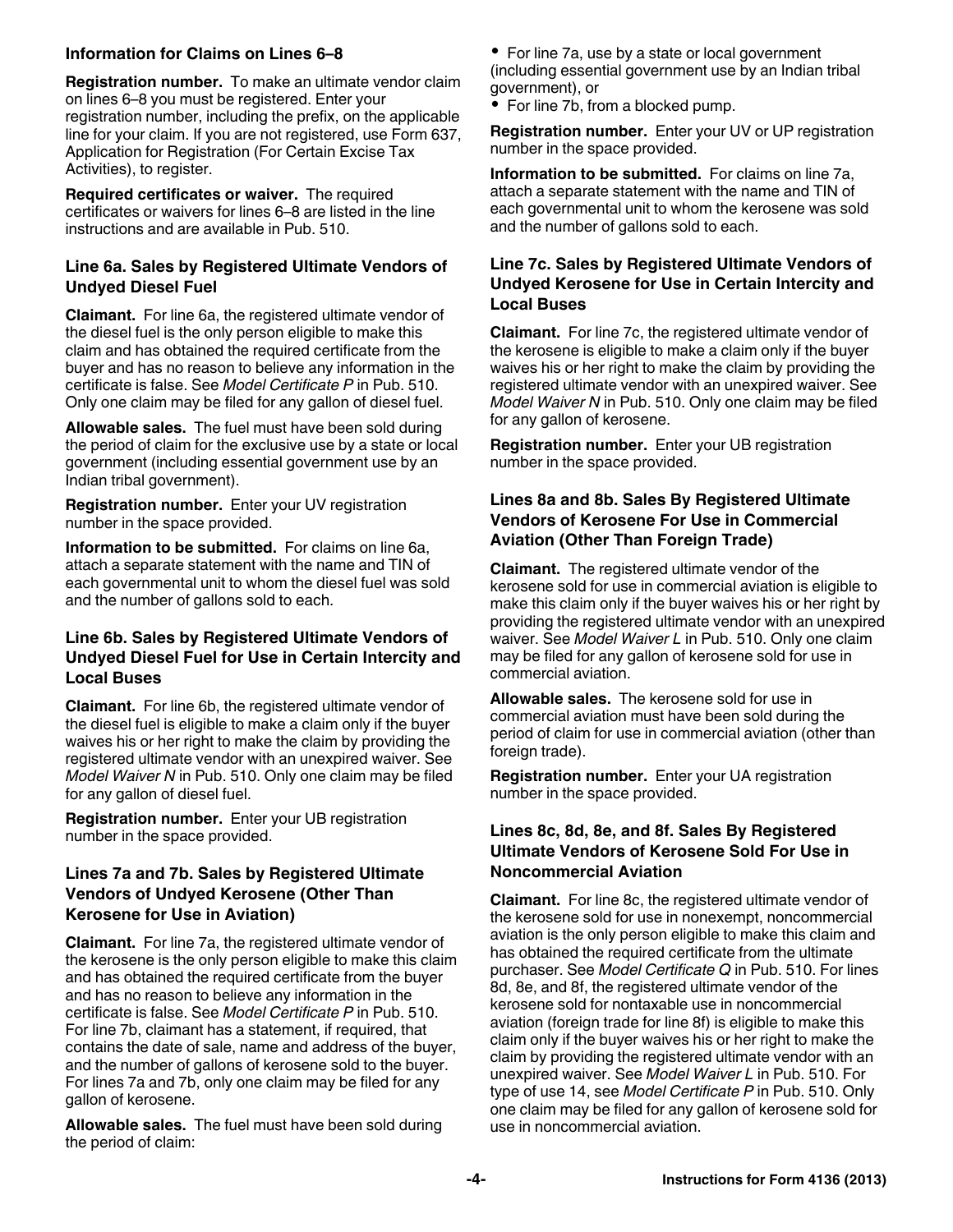#### **Information for Claims on Lines 6–8**

**Registration number.** To make an ultimate vendor claim on lines 6–8 you must be registered. Enter your registration number, including the prefix, on the applicable line for your claim. If you are not registered, use Form 637, Application for Registration (For Certain Excise Tax Activities), to register.

**Required certificates or waiver.** The required certificates or waivers for lines 6–8 are listed in the line instructions and are available in Pub. 510.

#### **Line 6a. Sales by Registered Ultimate Vendors of Undyed Diesel Fuel**

**Claimant.** For line 6a, the registered ultimate vendor of the diesel fuel is the only person eligible to make this claim and has obtained the required certificate from the buyer and has no reason to believe any information in the certificate is false. See *Model Certificate P* in Pub. 510. Only one claim may be filed for any gallon of diesel fuel.

**Allowable sales.** The fuel must have been sold during the period of claim for the exclusive use by a state or local government (including essential government use by an Indian tribal government).

**Registration number.** Enter your UV registration number in the space provided.

**Information to be submitted.** For claims on line 6a, attach a separate statement with the name and TIN of each governmental unit to whom the diesel fuel was sold and the number of gallons sold to each.

#### **Line 6b. Sales by Registered Ultimate Vendors of Undyed Diesel Fuel for Use in Certain Intercity and Local Buses**

**Claimant.** For line 6b, the registered ultimate vendor of the diesel fuel is eligible to make a claim only if the buyer waives his or her right to make the claim by providing the registered ultimate vendor with an unexpired waiver. See *Model Waiver N* in Pub. 510. Only one claim may be filed for any gallon of diesel fuel.

**Registration number.** Enter your UB registration number in the space provided.

#### **Lines 7a and 7b. Sales by Registered Ultimate Vendors of Undyed Kerosene (Other Than Kerosene for Use in Aviation)**

**Claimant.** For line 7a, the registered ultimate vendor of the kerosene is the only person eligible to make this claim and has obtained the required certificate from the buyer and has no reason to believe any information in the certificate is false. See *Model Certificate P* in Pub. 510. For line 7b, claimant has a statement, if required, that contains the date of sale, name and address of the buyer, and the number of gallons of kerosene sold to the buyer. For lines 7a and 7b, only one claim may be filed for any gallon of kerosene.

**Allowable sales.** The fuel must have been sold during the period of claim:

• For line 7a, use by a state or local government (including essential government use by an Indian tribal government), or

• For line 7b, from a blocked pump.

**Registration number.** Enter your UV or UP registration number in the space provided.

**Information to be submitted.** For claims on line 7a, attach a separate statement with the name and TIN of each governmental unit to whom the kerosene was sold and the number of gallons sold to each.

#### **Line 7c. Sales by Registered Ultimate Vendors of Undyed Kerosene for Use in Certain Intercity and Local Buses**

**Claimant.** For line 7c, the registered ultimate vendor of the kerosene is eligible to make a claim only if the buyer waives his or her right to make the claim by providing the registered ultimate vendor with an unexpired waiver. See *Model Waiver N* in Pub. 510. Only one claim may be filed for any gallon of kerosene.

**Registration number.** Enter your UB registration number in the space provided.

#### **Lines 8a and 8b. Sales By Registered Ultimate Vendors of Kerosene For Use in Commercial Aviation (Other Than Foreign Trade)**

**Claimant.** The registered ultimate vendor of the kerosene sold for use in commercial aviation is eligible to make this claim only if the buyer waives his or her right by providing the registered ultimate vendor with an unexpired waiver. See *Model Waiver L* in Pub. 510. Only one claim may be filed for any gallon of kerosene sold for use in commercial aviation.

**Allowable sales.** The kerosene sold for use in commercial aviation must have been sold during the period of claim for use in commercial aviation (other than foreign trade).

**Registration number.** Enter your UA registration number in the space provided.

#### **Lines 8c, 8d, 8e, and 8f. Sales By Registered Ultimate Vendors of Kerosene Sold For Use in Noncommercial Aviation**

**Claimant.** For line 8c, the registered ultimate vendor of the kerosene sold for use in nonexempt, noncommercial aviation is the only person eligible to make this claim and has obtained the required certificate from the ultimate purchaser. See *Model Certificate Q* in Pub. 510. For lines 8d, 8e, and 8f, the registered ultimate vendor of the kerosene sold for nontaxable use in noncommercial aviation (foreign trade for line 8f) is eligible to make this claim only if the buyer waives his or her right to make the claim by providing the registered ultimate vendor with an unexpired waiver. See *Model Waiver L* in Pub. 510. For type of use 14, see *Model Certificate P* in Pub. 510. Only one claim may be filed for any gallon of kerosene sold for use in noncommercial aviation.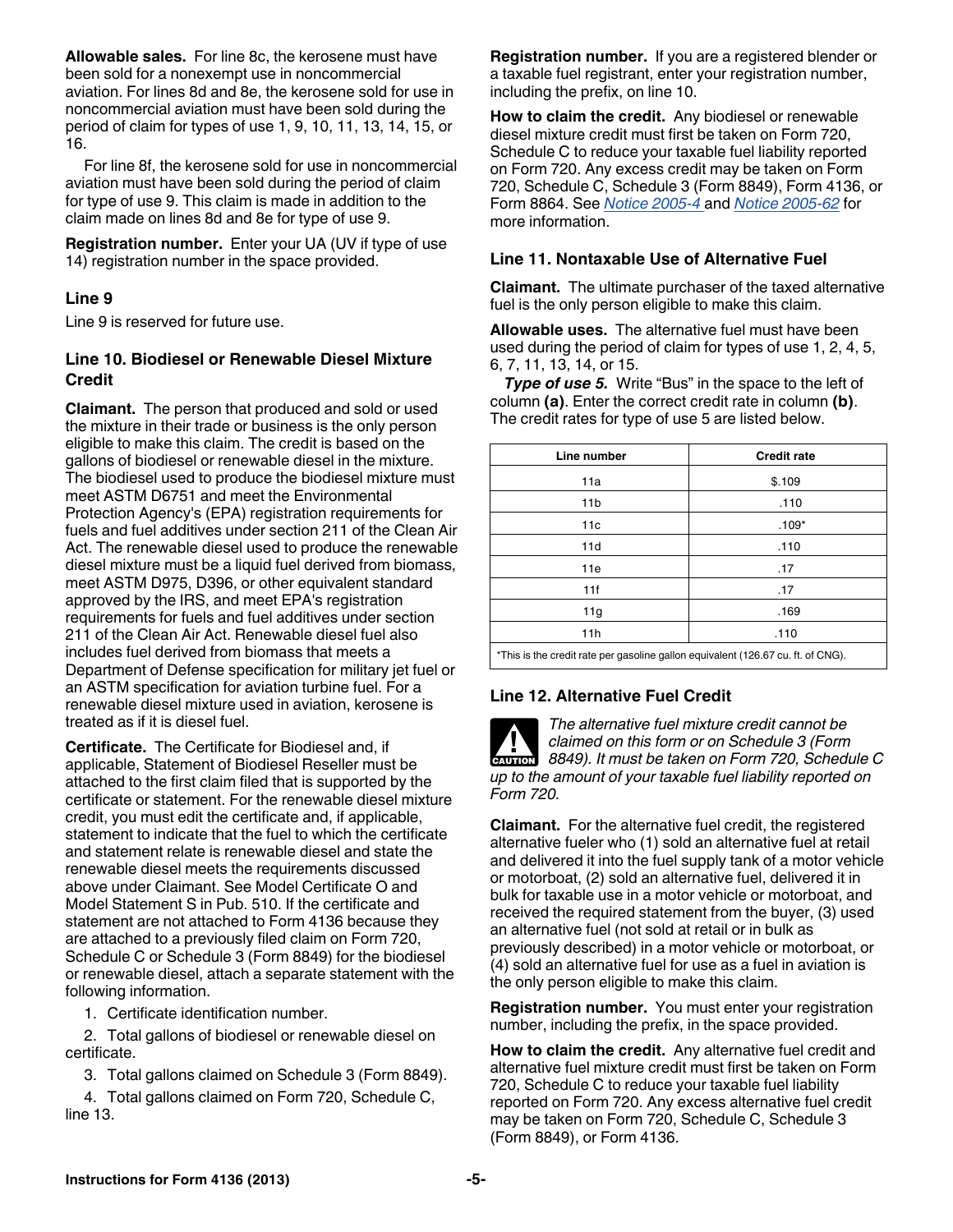**Allowable sales.** For line 8c, the kerosene must have been sold for a nonexempt use in noncommercial aviation. For lines 8d and 8e, the kerosene sold for use in noncommercial aviation must have been sold during the period of claim for types of use 1, 9, 10, 11, 13, 14, 15, or 16.

For line 8f, the kerosene sold for use in noncommercial aviation must have been sold during the period of claim for type of use 9. This claim is made in addition to the claim made on lines 8d and 8e for type of use 9.

**Registration number.** Enter your UA (UV if type of use 14) registration number in the space provided.

#### **Line 9**

Line 9 is reserved for future use.

#### **Line 10. Biodiesel or Renewable Diesel Mixture Credit**

**Claimant.** The person that produced and sold or used the mixture in their trade or business is the only person eligible to make this claim. The credit is based on the gallons of biodiesel or renewable diesel in the mixture. The biodiesel used to produce the biodiesel mixture must meet ASTM D6751 and meet the Environmental Protection Agency's (EPA) registration requirements for fuels and fuel additives under section 211 of the Clean Air Act. The renewable diesel used to produce the renewable diesel mixture must be a liquid fuel derived from biomass, meet ASTM D975, D396, or other equivalent standard approved by the IRS, and meet EPA's registration requirements for fuels and fuel additives under section 211 of the Clean Air Act. Renewable diesel fuel also includes fuel derived from biomass that meets a Department of Defense specification for military jet fuel or an ASTM specification for aviation turbine fuel. For a renewable diesel mixture used in aviation, kerosene is treated as if it is diesel fuel.

**Certificate.** The Certificate for Biodiesel and, if applicable, Statement of Biodiesel Reseller must be attached to the first claim filed that is supported by the certificate or statement. For the renewable diesel mixture credit, you must edit the certificate and, if applicable, statement to indicate that the fuel to which the certificate and statement relate is renewable diesel and state the renewable diesel meets the requirements discussed above under Claimant. See Model Certificate O and Model Statement S in Pub. 510. If the certificate and statement are not attached to Form 4136 because they are attached to a previously filed claim on Form 720, Schedule C or Schedule 3 (Form 8849) for the biodiesel or renewable diesel, attach a separate statement with the following information.

1. Certificate identification number.

2. Total gallons of biodiesel or renewable diesel on certificate.

3. Total gallons claimed on Schedule 3 (Form 8849).

4. Total gallons claimed on Form 720, Schedule C, line 13.

**Registration number.** If you are a registered blender or a taxable fuel registrant, enter your registration number, including the prefix, on line 10.

**How to claim the credit.** Any biodiesel or renewable diesel mixture credit must first be taken on Form 720, Schedule C to reduce your taxable fuel liability reported on Form 720. Any excess credit may be taken on Form 720, Schedule C, Schedule 3 (Form 8849), Form 4136, or Form 8864. See *[Notice 2005-4](http://www.irs.gov/irb/2005-02_IRB/ar14.html)* and *[Notice 2005-62](http://www.irs.gov/irb/2005-35_IRB/ar18.html)* for more information.

#### **Line 11. Nontaxable Use of Alternative Fuel**

**Claimant.** The ultimate purchaser of the taxed alternative fuel is the only person eligible to make this claim.

**Allowable uses.** The alternative fuel must have been used during the period of claim for types of use 1, 2, 4, 5, 6, 7, 11, 13, 14, or 15.

*Type of use 5.* Write "Bus" in the space to the left of column **(a)**. Enter the correct credit rate in column **(b)**. The credit rates for type of use 5 are listed below.

| Line number                                                                      | <b>Credit rate</b> |  |
|----------------------------------------------------------------------------------|--------------------|--|
| 11a                                                                              | \$.109             |  |
| 11 <sub>b</sub>                                                                  | .110               |  |
| 11c                                                                              | $.109*$            |  |
| 11d                                                                              | .110               |  |
| 11e                                                                              | .17                |  |
| 11f                                                                              | .17                |  |
| 11g                                                                              | .169               |  |
| 11h                                                                              | .110               |  |
| *This is the credit rate per gasoline gallon equivalent (126.67 cu. ft. of CNG). |                    |  |

# **Line 12. Alternative Fuel Credit**



*The alternative fuel mixture credit cannot be claimed on this form or on Schedule 3 (Form*  **Claimed on this form or on Schedule 3 (Form 8849). It must be taken on Form 720, Schedule C** *up to the amount of your taxable fuel liability reported on Form 720.*

**Claimant.** For the alternative fuel credit, the registered alternative fueler who (1) sold an alternative fuel at retail and delivered it into the fuel supply tank of a motor vehicle or motorboat, (2) sold an alternative fuel, delivered it in bulk for taxable use in a motor vehicle or motorboat, and received the required statement from the buyer, (3) used an alternative fuel (not sold at retail or in bulk as previously described) in a motor vehicle or motorboat, or (4) sold an alternative fuel for use as a fuel in aviation is the only person eligible to make this claim.

**Registration number.** You must enter your registration number, including the prefix, in the space provided.

**How to claim the credit.** Any alternative fuel credit and alternative fuel mixture credit must first be taken on Form 720, Schedule C to reduce your taxable fuel liability reported on Form 720. Any excess alternative fuel credit may be taken on Form 720, Schedule C, Schedule 3 (Form 8849), or Form 4136.